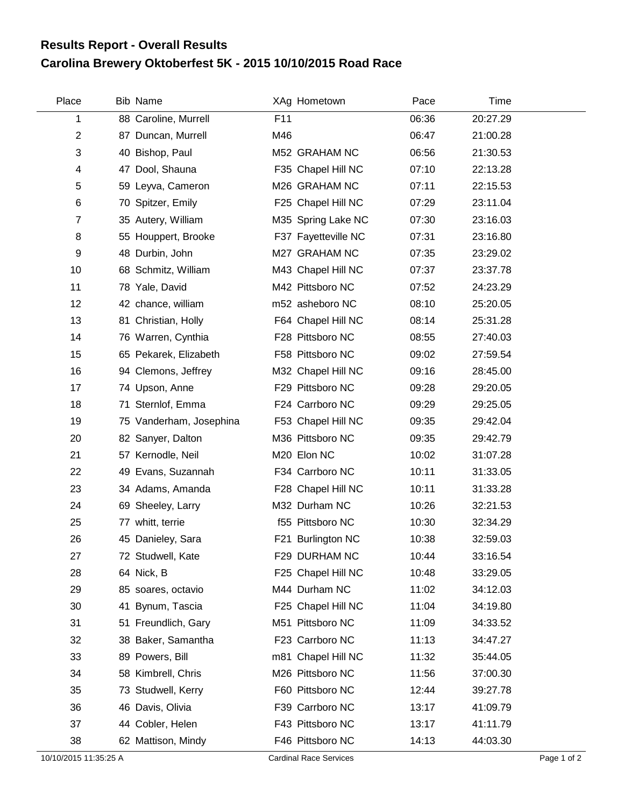## **Carolina Brewery Oktoberfest 5K - 2015 10/10/2015 Road Race Results Report - Overall Results**

| Place                 | Bib Name                |     | XAg Hometown                  | Pace  | <b>Time</b> |             |
|-----------------------|-------------------------|-----|-------------------------------|-------|-------------|-------------|
| 1                     | 88 Caroline, Murrell    | F11 |                               | 06:36 | 20:27.29    |             |
| $\overline{2}$        | 87 Duncan, Murrell      | M46 |                               | 06:47 | 21:00.28    |             |
| 3                     | 40 Bishop, Paul         |     | M52 GRAHAM NC                 | 06:56 | 21:30.53    |             |
| 4                     | 47 Dool, Shauna         |     | F35 Chapel Hill NC            | 07:10 | 22:13.28    |             |
| 5                     | 59 Leyva, Cameron       |     | M26 GRAHAM NC                 | 07:11 | 22:15.53    |             |
| 6                     | 70 Spitzer, Emily       |     | F25 Chapel Hill NC            | 07:29 | 23:11.04    |             |
| $\overline{7}$        | 35 Autery, William      |     | M35 Spring Lake NC            | 07:30 | 23:16.03    |             |
| 8                     | 55 Houppert, Brooke     |     | F37 Fayetteville NC           | 07:31 | 23:16.80    |             |
| 9                     | 48 Durbin, John         |     | M27 GRAHAM NC                 | 07:35 | 23:29.02    |             |
| 10                    | 68 Schmitz, William     |     | M43 Chapel Hill NC            | 07:37 | 23:37.78    |             |
| 11                    | 78 Yale, David          |     | M42 Pittsboro NC              | 07:52 | 24:23.29    |             |
| 12                    | 42 chance, william      |     | m52 asheboro NC               | 08:10 | 25:20.05    |             |
| 13                    | 81 Christian, Holly     |     | F64 Chapel Hill NC            | 08:14 | 25:31.28    |             |
| 14                    | 76 Warren, Cynthia      |     | F28 Pittsboro NC              | 08:55 | 27:40.03    |             |
| 15                    | 65 Pekarek, Elizabeth   |     | F58 Pittsboro NC              | 09:02 | 27:59.54    |             |
| 16                    | 94 Clemons, Jeffrey     |     | M32 Chapel Hill NC            | 09:16 | 28:45.00    |             |
| 17                    | 74 Upson, Anne          |     | F29 Pittsboro NC              | 09:28 | 29:20.05    |             |
| 18                    | 71 Sternlof, Emma       |     | F24 Carrboro NC               | 09:29 | 29:25.05    |             |
| 19                    | 75 Vanderham, Josephina |     | F53 Chapel Hill NC            | 09:35 | 29:42.04    |             |
| 20                    | 82 Sanyer, Dalton       |     | M36 Pittsboro NC              | 09:35 | 29:42.79    |             |
| 21                    | 57 Kernodle, Neil       |     | M20 Elon NC                   | 10:02 | 31:07.28    |             |
| 22                    | 49 Evans, Suzannah      |     | F34 Carrboro NC               | 10:11 | 31:33.05    |             |
| 23                    | 34 Adams, Amanda        |     | F28 Chapel Hill NC            | 10:11 | 31:33.28    |             |
| 24                    | 69 Sheeley, Larry       |     | M32 Durham NC                 | 10:26 | 32:21.53    |             |
| 25                    | 77 whitt, terrie        |     | f55 Pittsboro NC              | 10:30 | 32:34.29    |             |
| 26                    | 45 Danieley, Sara       |     | F21 Burlington NC             | 10:38 | 32:59.03    |             |
| 27                    | 72 Studwell, Kate       |     | F29 DURHAM NC                 | 10:44 | 33:16.54    |             |
| 28                    | 64 Nick, B              |     | F25 Chapel Hill NC            | 10:48 | 33:29.05    |             |
| 29                    | 85 soares, octavio      |     | M44 Durham NC                 | 11:02 | 34:12.03    |             |
| 30                    | 41 Bynum, Tascia        |     | F25 Chapel Hill NC            | 11:04 | 34:19.80    |             |
| 31                    | 51 Freundlich, Gary     |     | M51 Pittsboro NC              | 11:09 | 34:33.52    |             |
| 32                    | 38 Baker, Samantha      |     | F23 Carrboro NC               | 11:13 | 34:47.27    |             |
| 33                    | 89 Powers, Bill         |     | m81 Chapel Hill NC            | 11:32 | 35:44.05    |             |
| 34                    | 58 Kimbrell, Chris      |     | M26 Pittsboro NC              | 11:56 | 37:00.30    |             |
| 35                    | 73 Studwell, Kerry      |     | F60 Pittsboro NC              | 12:44 | 39:27.78    |             |
| 36                    | 46 Davis, Olivia        |     | F39 Carrboro NC               | 13:17 | 41:09.79    |             |
| 37                    | 44 Cobler, Helen        |     | F43 Pittsboro NC              | 13:17 | 41:11.79    |             |
| 38                    | 62 Mattison, Mindy      |     | F46 Pittsboro NC              | 14:13 | 44:03.30    |             |
| 10/10/2015 11:35:25 A |                         |     | <b>Cardinal Race Services</b> |       |             | Page 1 of 2 |